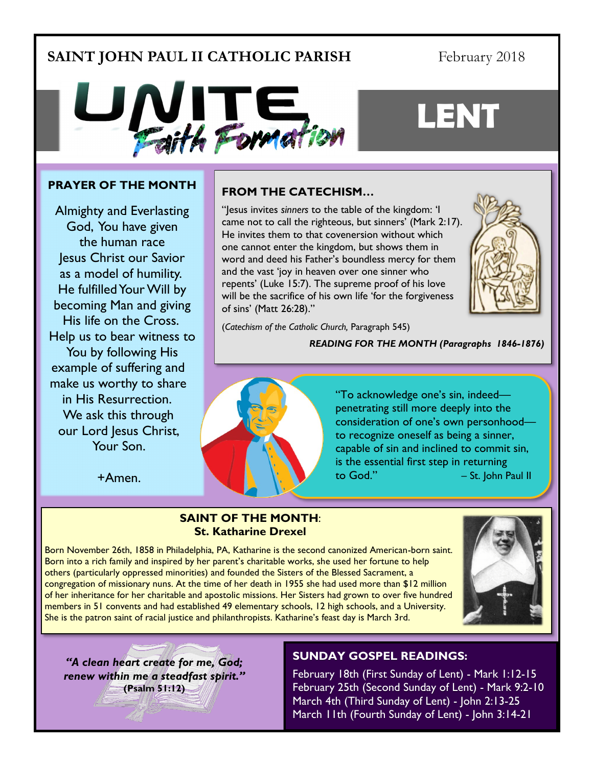## **SAINT JOHN PAUL II CATHOLIC PARISH**

## February 2018

**LENT**



#### **PRAYER OF THE MONTH**

Almighty and Everlasting God, You have given the human race Jesus [Christ](http://www.catholic.org/clife/jesus) our Savior as a model of humility. He fulfilled Your [Will](http://www.catholic.org/encyclopedia/view.php?id=12332) by becoming [Man](http://www.catholic.org/encyclopedia/view.php?id=7463) and giving His [life](http://www.catholic.org/encyclopedia/view.php?id=7101) on the Cross. Help us to bear [witness](http://www.catholic.org/encyclopedia/view.php?id=12423) to You by following His example of suffering and make us worthy to share in His Resurrection. We ask this through our [Lord](http://www.catholic.org/encyclopedia/view.php?id=5217) [Jesus](http://www.catholic.org/clife/jesus) Christ, Your Son.

+Amen.

## **FROM THE CATECHISM…**

"Jesus invites *sinners* to the table of the kingdom: 'I came not to call the righteous, but sinners' (Mark 2:17). He invites them to that covenersion without which one cannot enter the kingdom, but shows them in word and deed his Father's boundless mercy for them and the vast 'joy in heaven over one sinner who repents' (Luke 15:7). The supreme proof of his love will be the sacrifice of his own life 'for the forgiveness of sins' (Matt 26:28)."



(*Catechism of the Catholic Church,* Paragraph 545)

*READING FOR THE MONTH (Paragraphs 1846-1876)*



"To acknowledge one's sin, indeed penetrating still more deeply into the consideration of one's own personhood to recognize oneself as being a sinner, capable of sin and inclined to commit sin, is the essential first step in returning  $\text{to God."}$   $-$  St. John Paul II

#### **SAINT OF THE MONTH**: **St. Katharine Drexel**

Born November 26th, 1858 in Philadelphia, PA, Katharine is the second canonized American-born saint. Born into a rich family and inspired by her parent's charitable works, she used her fortune to help others (particularly oppressed minorities) and founded the Sisters of the Blessed Sacrament, a congregation of missionary nuns. At the time of her death in 1955 she had used more than \$12 million of her inheritance for her charitable and apostolic missions. Her Sisters had grown to over five hundred members in 51 convents and had established 49 elementary schools, 12 high schools, and a University. She is the patron saint of racial justice and philanthropists. Katharine's feast day is March 3rd.



*"A clean heart create for me, God; renew within me a steadfast spirit."*  **(Psalm 51:12)**

## **SUNDAY GOSPEL READINGS:**

February 18th (First Sunday of Lent) - Mark 1:12-15 February 25th (Second Sunday of Lent) - Mark 9:2-10 March 4th (Third Sunday of Lent) - John 2:13-25 March 11th (Fourth Sunday of Lent) - John 3:14-21